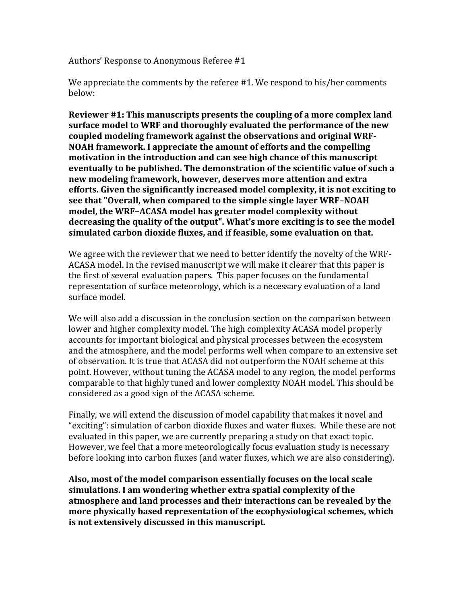Authors' Response to Anonymous Referee #1

We appreciate the comments by the referee  $#1$ . We respond to his/her comments below:

**Reviewer #1: This manuscripts presents the coupling of a more complex land** surface model to WRF and thoroughly evaluated the performance of the new coupled modeling framework against the observations and original WRF-**NOAH** framework. I appreciate the amount of efforts and the compelling motivation in the introduction and can see high chance of this manuscript eventually to be published. The demonstration of the scientific value of such a **new modeling framework, however, deserves more attention and extra** efforts. Given the significantly increased model complexity, it is not exciting to see that "Overall, when compared to the simple single layer WRF-NOAH model, the WRF-ACASA model has greater model complexity without decreasing the quality of the output". What's more exciting is to see the model simulated carbon dioxide fluxes, and if feasible, some evaluation on that.

We agree with the reviewer that we need to better identify the novelty of the WRF-ACASA model. In the revised manuscript we will make it clearer that this paper is the first of several evaluation papers. This paper focuses on the fundamental representation of surface meteorology, which is a necessary evaluation of a land surface model.

We will also add a discussion in the conclusion section on the comparison between lower and higher complexity model. The high complexity ACASA model properly accounts for important biological and physical processes between the ecosystem and the atmosphere, and the model performs well when compare to an extensive set of observation. It is true that ACASA did not outperform the NOAH scheme at this point. However, without tuning the ACASA model to any region, the model performs comparable to that highly tuned and lower complexity NOAH model. This should be considered as a good sign of the ACASA scheme.

Finally, we will extend the discussion of model capability that makes it novel and "exciting": simulation of carbon dioxide fluxes and water fluxes. While these are not evaluated in this paper, we are currently preparing a study on that exact topic. However, we feel that a more meteorologically focus evaluation study is necessary before looking into carbon fluxes (and water fluxes, which we are also considering).

Also, most of the model comparison essentially focuses on the local scale simulations. I am wondering whether extra spatial complexity of the atmosphere and land processes and their interactions can be revealed by the more physically based representation of the ecophysiological schemes, which **is not extensively discussed in this manuscript.**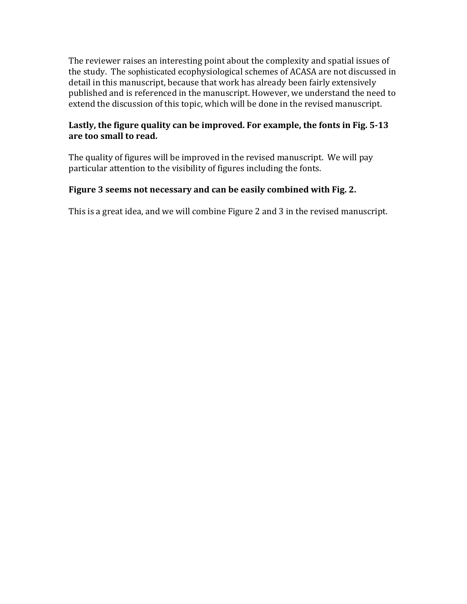The reviewer raises an interesting point about the complexity and spatial issues of the study. The sophisticated ecophysiological schemes of ACASA are not discussed in detail in this manuscript, because that work has already been fairly extensively published and is referenced in the manuscript. However, we understand the need to extend the discussion of this topic, which will be done in the revised manuscript.

# Lastly, the figure quality can be improved. For example, the fonts in Fig. 5-13 are too small to read.

The quality of figures will be improved in the revised manuscript. We will pay particular attention to the visibility of figures including the fonts.

# Figure 3 seems not necessary and can be easily combined with Fig. 2.

This is a great idea, and we will combine Figure 2 and 3 in the revised manuscript.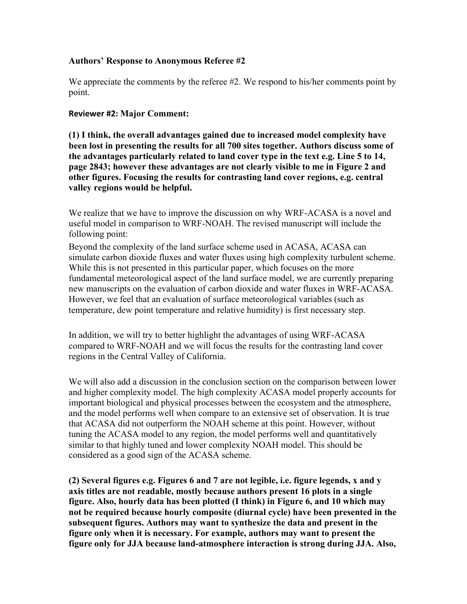### **Authors' Response to Anonymous Referee #2**

We appreciate the comments by the referee #2. We respond to his/her comments point by point.

#### **Reviewer #2: Major Comment:**

**(1) I think, the overall advantages gained due to increased model complexity have been lost in presenting the results for all 700 sites together. Authors discuss some of the advantages particularly related to land cover type in the text e.g. Line 5 to 14, page 2843; however these advantages are not clearly visible to me in Figure 2 and other figures. Focusing the results for contrasting land cover regions, e.g. central valley regions would be helpful.** 

We realize that we have to improve the discussion on why WRF-ACASA is a novel and useful model in comparison to WRF-NOAH. The revised manuscript will include the following point:

Beyond the complexity of the land surface scheme used in ACASA, ACASA can simulate carbon dioxide fluxes and water fluxes using high complexity turbulent scheme. While this is not presented in this particular paper, which focuses on the more fundamental meteorological aspect of the land surface model, we are currently preparing new manuscripts on the evaluation of carbon dioxide and water fluxes in WRF-ACASA. However, we feel that an evaluation of surface meteorological variables (such as temperature, dew point temperature and relative humidity) is first necessary step.

In addition, we will try to better highlight the advantages of using WRF-ACASA compared to WRF-NOAH and we will focus the results for the contrasting land cover regions in the Central Valley of California.

We will also add a discussion in the conclusion section on the comparison between lower and higher complexity model. The high complexity ACASA model properly accounts for important biological and physical processes between the ecosystem and the atmosphere, and the model performs well when compare to an extensive set of observation. It is true that ACASA did not outperform the NOAH scheme at this point. However, without tuning the ACASA model to any region, the model performs well and quantitatively similar to that highly tuned and lower complexity NOAH model. This should be considered as a good sign of the ACASA scheme.

**(2) Several figures e.g. Figures 6 and 7 are not legible, i.e. figure legends, x and y axis titles are not readable, mostly because authors present 16 plots in a single figure. Also, hourly data has been plotted (I think) in Figure 6, and 10 which may not be required because hourly composite (diurnal cycle) have been presented in the subsequent figures. Authors may want to synthesize the data and present in the figure only when it is necessary. For example, authors may want to present the figure only for JJA because land-atmosphere interaction is strong during JJA. Also,**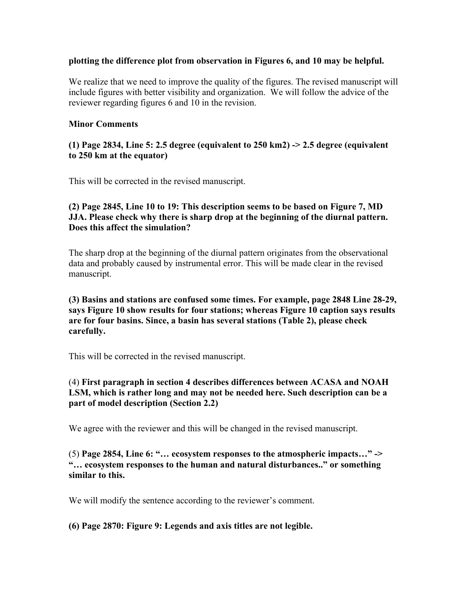#### **plotting the difference plot from observation in Figures 6, and 10 may be helpful.**

We realize that we need to improve the quality of the figures. The revised manuscript will include figures with better visibility and organization. We will follow the advice of the reviewer regarding figures 6 and 10 in the revision.

### **Minor Comments**

### **(1) Page 2834, Line 5: 2.5 degree (equivalent to 250 km2) -> 2.5 degree (equivalent to 250 km at the equator)**

This will be corrected in the revised manuscript.

# **(2) Page 2845, Line 10 to 19: This description seems to be based on Figure 7, MD JJA. Please check why there is sharp drop at the beginning of the diurnal pattern. Does this affect the simulation?**

The sharp drop at the beginning of the diurnal pattern originates from the observational data and probably caused by instrumental error. This will be made clear in the revised manuscript.

### **(3) Basins and stations are confused some times. For example, page 2848 Line 28-29, says Figure 10 show results for four stations; whereas Figure 10 caption says results are for four basins. Since, a basin has several stations (Table 2), please check carefully.**

This will be corrected in the revised manuscript.

# (4) **First paragraph in section 4 describes differences between ACASA and NOAH LSM, which is rather long and may not be needed here. Such description can be a part of model description (Section 2.2)**

We agree with the reviewer and this will be changed in the revised manuscript.

### (5) **Page 2854, Line 6: "… ecosystem responses to the atmospheric impacts…" -> "… ecosystem responses to the human and natural disturbances.." or something similar to this.**

We will modify the sentence according to the reviewer's comment.

# **(6) Page 2870: Figure 9: Legends and axis titles are not legible.**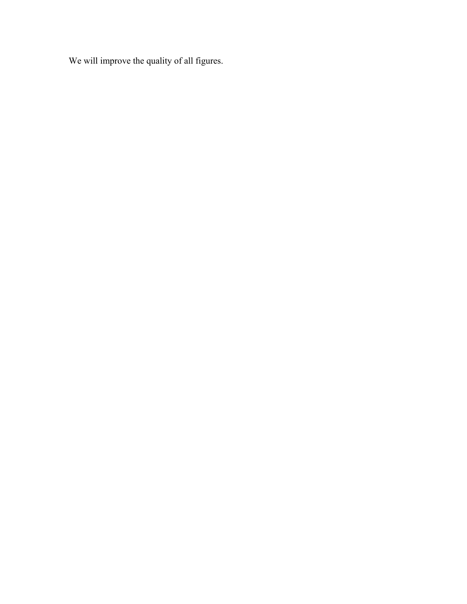We will improve the quality of all figures.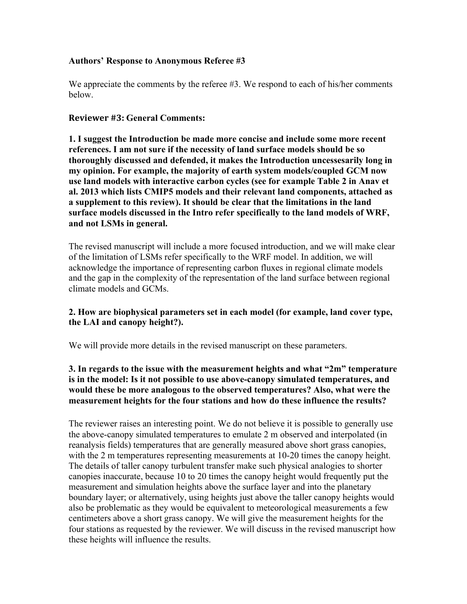### **Authors' Response to Anonymous Referee #3**

We appreciate the comments by the referee #3. We respond to each of his/her comments below.

#### **Reviewer #3: General Comments:**

**1. I suggest the Introduction be made more concise and include some more recent references. I am not sure if the necessity of land surface models should be so thoroughly discussed and defended, it makes the Introduction uncessesarily long in my opinion. For example, the majority of earth system models/coupled GCM now use land models with interactive carbon cycles (see for example Table 2 in Anav et al. 2013 which lists CMIP5 models and their relevant land components, attached as a supplement to this review). It should be clear that the limitations in the land surface models discussed in the Intro refer specifically to the land models of WRF, and not LSMs in general.** 

The revised manuscript will include a more focused introduction, and we will make clear of the limitation of LSMs refer specifically to the WRF model. In addition, we will acknowledge the importance of representing carbon fluxes in regional climate models and the gap in the complexity of the representation of the land surface between regional climate models and GCMs.

# **2. How are biophysical parameters set in each model (for example, land cover type, the LAI and canopy height?).**

We will provide more details in the revised manuscript on these parameters.

### **3. In regards to the issue with the measurement heights and what "2m" temperature is in the model: Is it not possible to use above-canopy simulated temperatures, and would these be more analogous to the observed temperatures? Also, what were the measurement heights for the four stations and how do these influence the results?**

The reviewer raises an interesting point. We do not believe it is possible to generally use the above-canopy simulated temperatures to emulate 2 m observed and interpolated (in reanalysis fields) temperatures that are generally measured above short grass canopies, with the 2 m temperatures representing measurements at 10-20 times the canopy height. The details of taller canopy turbulent transfer make such physical analogies to shorter canopies inaccurate, because 10 to 20 times the canopy height would frequently put the measurement and simulation heights above the surface layer and into the planetary boundary layer; or alternatively, using heights just above the taller canopy heights would also be problematic as they would be equivalent to meteorological measurements a few centimeters above a short grass canopy. We will give the measurement heights for the four stations as requested by the reviewer. We will discuss in the revised manuscript how these heights will influence the results.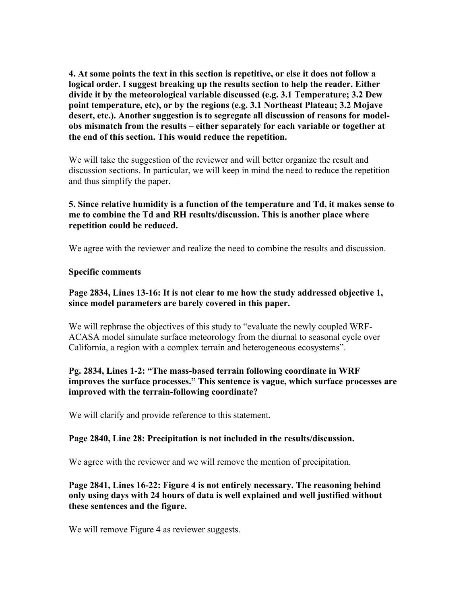**4. At some points the text in this section is repetitive, or else it does not follow a logical order. I suggest breaking up the results section to help the reader. Either divide it by the meteorological variable discussed (e.g. 3.1 Temperature; 3.2 Dew point temperature, etc), or by the regions (e.g. 3.1 Northeast Plateau; 3.2 Mojave desert, etc.). Another suggestion is to segregate all discussion of reasons for modelobs mismatch from the results – either separately for each variable or together at the end of this section. This would reduce the repetition.**

We will take the suggestion of the reviewer and will better organize the result and discussion sections. In particular, we will keep in mind the need to reduce the repetition and thus simplify the paper.

# **5. Since relative humidity is a function of the temperature and Td, it makes sense to me to combine the Td and RH results/discussion. This is another place where repetition could be reduced.**

We agree with the reviewer and realize the need to combine the results and discussion.

### **Specific comments**

### **Page 2834, Lines 13-16: It is not clear to me how the study addressed objective 1, since model parameters are barely covered in this paper.**

We will rephrase the objectives of this study to "evaluate the newly coupled WRF-ACASA model simulate surface meteorology from the diurnal to seasonal cycle over California, a region with a complex terrain and heterogeneous ecosystems".

### **Pg. 2834, Lines 1-2: "The mass-based terrain following coordinate in WRF improves the surface processes." This sentence is vague, which surface processes are improved with the terrain-following coordinate?**

We will clarify and provide reference to this statement.

# **Page 2840, Line 28: Precipitation is not included in the results/discussion.**

We agree with the reviewer and we will remove the mention of precipitation.

### **Page 2841, Lines 16-22: Figure 4 is not entirely necessary. The reasoning behind only using days with 24 hours of data is well explained and well justified without these sentences and the figure.**

We will remove Figure 4 as reviewer suggests.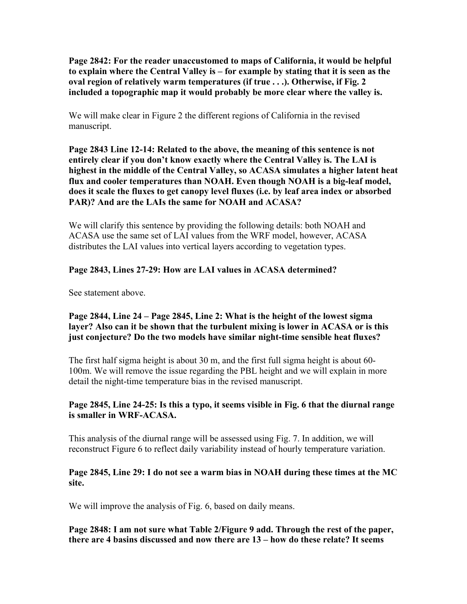**Page 2842: For the reader unaccustomed to maps of California, it would be helpful to explain where the Central Valley is – for example by stating that it is seen as the oval region of relatively warm temperatures (if true . . .). Otherwise, if Fig. 2 included a topographic map it would probably be more clear where the valley is.**

We will make clear in Figure 2 the different regions of California in the revised manuscript.

**Page 2843 Line 12-14: Related to the above, the meaning of this sentence is not entirely clear if you don't know exactly where the Central Valley is. The LAI is highest in the middle of the Central Valley, so ACASA simulates a higher latent heat flux and cooler temperatures than NOAH. Even though NOAH is a big-leaf model, does it scale the fluxes to get canopy level fluxes (i.e. by leaf area index or absorbed PAR)? And are the LAIs the same for NOAH and ACASA?**

We will clarify this sentence by providing the following details: both NOAH and ACASA use the same set of LAI values from the WRF model, however, ACASA distributes the LAI values into vertical layers according to vegetation types.

# **Page 2843, Lines 27-29: How are LAI values in ACASA determined?**

See statement above.

### **Page 2844, Line 24 – Page 2845, Line 2: What is the height of the lowest sigma layer? Also can it be shown that the turbulent mixing is lower in ACASA or is this just conjecture? Do the two models have similar night-time sensible heat fluxes?**

The first half sigma height is about 30 m, and the first full sigma height is about 60- 100m. We will remove the issue regarding the PBL height and we will explain in more detail the night-time temperature bias in the revised manuscript.

# **Page 2845, Line 24-25: Is this a typo, it seems visible in Fig. 6 that the diurnal range is smaller in WRF-ACASA.**

This analysis of the diurnal range will be assessed using Fig. 7. In addition, we will reconstruct Figure 6 to reflect daily variability instead of hourly temperature variation.

### **Page 2845, Line 29: I do not see a warm bias in NOAH during these times at the MC site.**

We will improve the analysis of Fig. 6, based on daily means.

# **Page 2848: I am not sure what Table 2/Figure 9 add. Through the rest of the paper, there are 4 basins discussed and now there are 13 – how do these relate? It seems**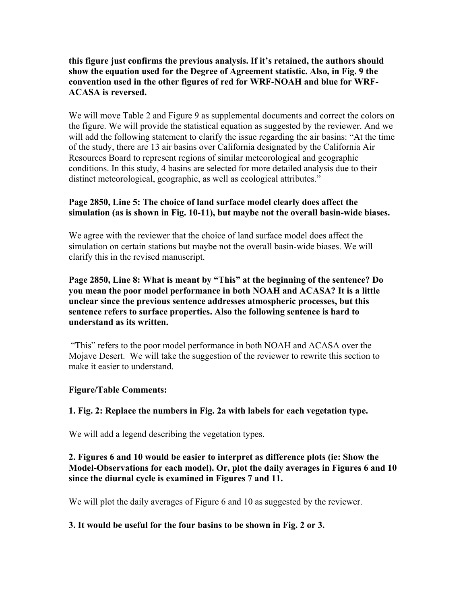### **this figure just confirms the previous analysis. If it's retained, the authors should show the equation used for the Degree of Agreement statistic. Also, in Fig. 9 the convention used in the other figures of red for WRF-NOAH and blue for WRF-ACASA is reversed.**

We will move Table 2 and Figure 9 as supplemental documents and correct the colors on the figure. We will provide the statistical equation as suggested by the reviewer. And we will add the following statement to clarify the issue regarding the air basins: "At the time of the study, there are 13 air basins over California designated by the California Air Resources Board to represent regions of similar meteorological and geographic conditions. In this study, 4 basins are selected for more detailed analysis due to their distinct meteorological, geographic, as well as ecological attributes."

# **Page 2850, Line 5: The choice of land surface model clearly does affect the simulation (as is shown in Fig. 10-11), but maybe not the overall basin-wide biases.**

We agree with the reviewer that the choice of land surface model does affect the simulation on certain stations but maybe not the overall basin-wide biases. We will clarify this in the revised manuscript.

### **Page 2850, Line 8: What is meant by "This" at the beginning of the sentence? Do you mean the poor model performance in both NOAH and ACASA? It is a little unclear since the previous sentence addresses atmospheric processes, but this sentence refers to surface properties. Also the following sentence is hard to understand as its written.**

"This" refers to the poor model performance in both NOAH and ACASA over the Mojave Desert. We will take the suggestion of the reviewer to rewrite this section to make it easier to understand.

# **Figure/Table Comments:**

# **1. Fig. 2: Replace the numbers in Fig. 2a with labels for each vegetation type.**

We will add a legend describing the vegetation types.

# **2. Figures 6 and 10 would be easier to interpret as difference plots (ie: Show the Model-Observations for each model). Or, plot the daily averages in Figures 6 and 10 since the diurnal cycle is examined in Figures 7 and 11.**

We will plot the daily averages of Figure 6 and 10 as suggested by the reviewer.

# **3. It would be useful for the four basins to be shown in Fig. 2 or 3.**